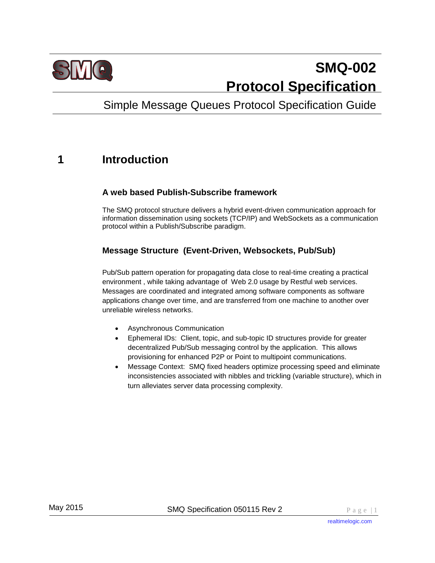

# **SMQ-002 Protocol Specification**

# Simple Message Queues Protocol Specification Guide

# **1 Introduction**

#### **A web based Publish-Subscribe framework**

The SMQ protocol structure delivers a hybrid event-driven communication approach for information dissemination using sockets (TCP/IP) and WebSockets as a communication protocol within a Publish/Subscribe paradigm.

#### **Message Structure (Event-Driven, Websockets, Pub/Sub)**

Pub/Sub pattern operation for propagating data close to real-time creating a practical environment , while taking advantage of Web 2.0 usage by Restful web services. Messages are coordinated and integrated among software components as software applications change over time, and are transferred from one machine to another over unreliable wireless networks.

- Asynchronous Communication
- Ephemeral IDs: Client, topic, and sub-topic ID structures provide for greater decentralized Pub/Sub messaging control by the application. This allows provisioning for enhanced P2P or Point to multipoint communications.
- Message Context: SMQ fixed headers optimize processing speed and eliminate inconsistencies associated with nibbles and trickling (variable structure), which in turn alleviates server data processing complexity.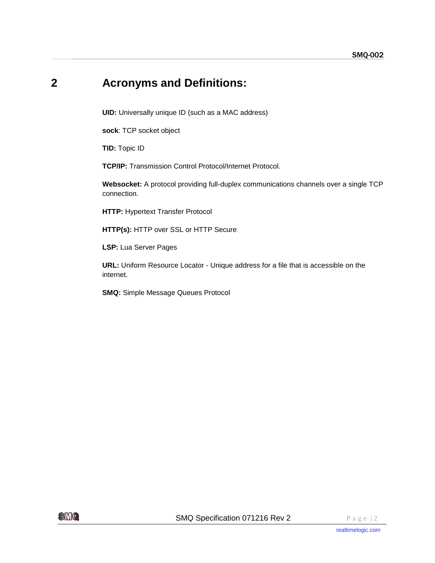# **2 Acronyms and Definitions:**

**UID:** Universally unique ID (such as a MAC address)

**sock**: TCP socket object

**TID:** Topic ID

**TCP/IP:** Transmission Control Protocol/Internet Protocol.

**Websocket:** A protocol providing full-duplex communications channels over a single TCP connection.

**HTTP:** Hypertext Transfer Protocol

**HTTP(s):** HTTP over SSL or HTTP Secure

**LSP:** Lua Server Pages

**URL:** Uniform Resource Locator - Unique address for a file that is accessible on the internet.

**SMQ:** Simple Message Queues Protocol

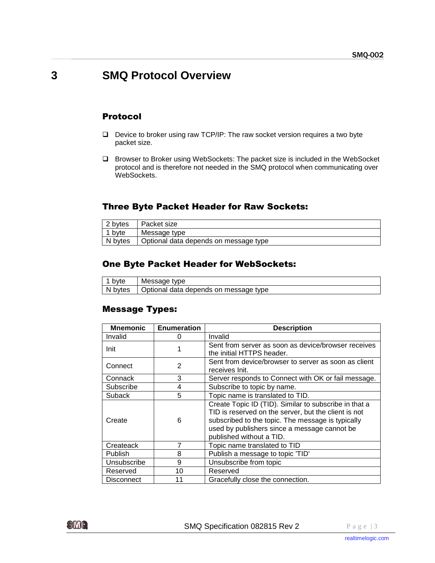### **3 SMQ Protocol Overview**

#### Protocol

- $\Box$  Device to broker using raw TCP/IP: The raw socket version requires a two byte packet size.
- Browser to Broker using WebSockets: The packet size is included in the WebSocket protocol and is therefore not needed in the SMQ protocol when communicating over WebSockets.

#### Three Byte Packet Header for Raw Sockets:

| 2 bytes  | ∣ Packet size                                   |
|----------|-------------------------------------------------|
| ∣ 1 b∨te | Message type                                    |
|          | N bytes   Optional data depends on message type |

#### One Byte Packet Header for WebSockets:

| 1 byte | Message type                                    |
|--------|-------------------------------------------------|
|        | N bytes   Optional data depends on message type |

#### Message Types:

| <b>Mnemonic</b>   | <b>Enumeration</b> | <b>Description</b>                                                                                                                                                                                                                             |
|-------------------|--------------------|------------------------------------------------------------------------------------------------------------------------------------------------------------------------------------------------------------------------------------------------|
| Invalid           | 0                  | Invalid                                                                                                                                                                                                                                        |
| Init              |                    | Sent from server as soon as device/browser receives<br>the initial HTTPS header.                                                                                                                                                               |
| Connect           | 2                  | Sent from device/browser to server as soon as client<br>receives Init.                                                                                                                                                                         |
| Connack           | 3                  | Server responds to Connect with OK or fail message.                                                                                                                                                                                            |
| Subscribe         | 4                  | Subscribe to topic by name.                                                                                                                                                                                                                    |
| Suback            | 5                  | Topic name is translated to TID.                                                                                                                                                                                                               |
| Create            | 6                  | Create Topic ID (TID). Similar to subscribe in that a<br>TID is reserved on the server, but the client is not<br>subscribed to the topic. The message is typically<br>used by publishers since a message cannot be<br>published without a TID. |
| Createack         | 7                  | Topic name translated to TID                                                                                                                                                                                                                   |
| <b>Publish</b>    | 8                  | Publish a message to topic 'TID'                                                                                                                                                                                                               |
| Unsubscribe       | 9                  | Unsubscribe from topic                                                                                                                                                                                                                         |
| Reserved          | 10                 | Reserved                                                                                                                                                                                                                                       |
| <b>Disconnect</b> | 11                 | Gracefully close the connection.                                                                                                                                                                                                               |

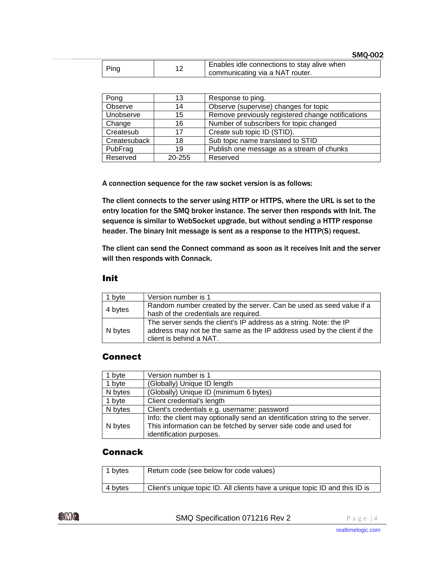| Ping | Enables idle connections to stay alive when<br>communicating via a NAT router. |
|------|--------------------------------------------------------------------------------|
|      |                                                                                |

| Pong         | 13     | Response to ping.                                 |
|--------------|--------|---------------------------------------------------|
| Observe      | 14     | Observe (supervise) changes for topic             |
| Unobserve    | 15     | Remove previously registered change notifications |
| Change       | 16     | Number of subscribers for topic changed           |
| Createsub    | 17     | Create sub topic ID (STID).                       |
| Createsuback | 18     | Sub topic name translated to STID                 |
| PubFrag      | 19     | Publish one message as a stream of chunks         |
| Reserved     | 20-255 | Reserved                                          |

A connection sequence for the raw socket version is as follows:

The client connects to the server using HTTP or HTTPS, where the URL is set to the entry location for the SMQ broker instance. The server then responds with Init. The sequence is similar to WebSocket upgrade, but without sending a HTTP response header. The binary Init message is sent as a response to the HTTP(S) request.

The client can send the Connect command as soon as it receives Init and the server will then responds with Connack.

#### Init

| 1 byte  | Version number is 1                                                                                                                                                      |
|---------|--------------------------------------------------------------------------------------------------------------------------------------------------------------------------|
| 4 bytes | Random number created by the server. Can be used as seed value if a<br>hash of the credentials are required.                                                             |
| N bytes | The server sends the client's IP address as a string. Note: the IP<br>address may not be the same as the IP address used by the client if the<br>client is behind a NAT. |

#### **Connect**

| 1 byte  | Version number is 1                                                                                                                                                          |
|---------|------------------------------------------------------------------------------------------------------------------------------------------------------------------------------|
| 1 byte  | (Globally) Unique ID length                                                                                                                                                  |
| N bytes | (Globally) Unique ID (minimum 6 bytes)                                                                                                                                       |
| 1 byte  | Client credential's length                                                                                                                                                   |
| N bytes | Client's credentials e.g. username: password                                                                                                                                 |
| N bytes | Info: the client may optionally send an identification string to the server.<br>This information can be fetched by server side code and used for<br>identification purposes. |

#### Connack

| 1 bytes | Return code (see below for code values)                                     |
|---------|-----------------------------------------------------------------------------|
| 4 bytes | Client's unique topic ID. All clients have a unique topic ID and this ID is |

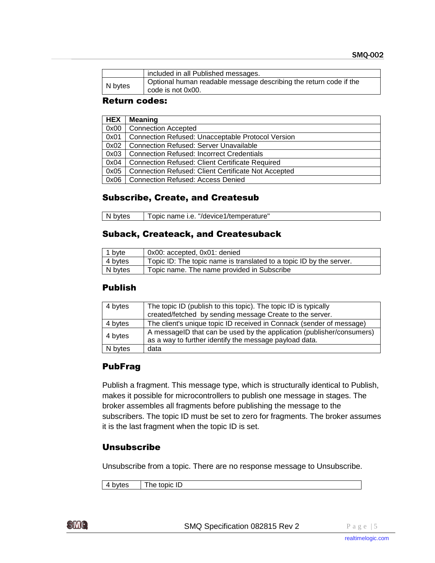$\overline{\phantom{a}}$ 

|         | included in all Published messages.                                                    |
|---------|----------------------------------------------------------------------------------------|
| N bytes | Optional human readable message describing the return code if the<br>code is not 0x00. |

#### Return codes:

| <b>HEX</b> | Meaning                                                    |
|------------|------------------------------------------------------------|
| 0x00       | <b>Connection Accepted</b>                                 |
| 0x01       | Connection Refused: Unacceptable Protocol Version          |
| 0x02       | <b>Connection Refused: Server Unavailable</b>              |
| 0x03       | <b>Connection Refused: Incorrect Credentials</b>           |
| 0x04       | <b>Connection Refused: Client Certificate Required</b>     |
| 0x05       | <b>Connection Refused: Client Certificate Not Accepted</b> |
| 0x06       | <b>Connection Refused: Access Denied</b>                   |

#### Subscribe, Create, and Createsub

| N bytes | Topic name i.e. "/device1/temperature" |  |
|---------|----------------------------------------|--|
|---------|----------------------------------------|--|

#### Suback, Createack, and Createsuback

| $\vert$ 1 byte | 0x00: accepted, 0x01: denied                                        |
|----------------|---------------------------------------------------------------------|
| 4 bytes        | Topic ID: The topic name is translated to a topic ID by the server. |
| N bytes        | Topic name. The name provided in Subscribe                          |

#### Publish

| 4 bytes | The topic ID (publish to this topic). The topic ID is typically<br>created/fetched by sending message Create to the server.     |
|---------|---------------------------------------------------------------------------------------------------------------------------------|
| 4 bytes | The client's unique topic ID received in Connack (sender of message)                                                            |
| 4 bytes | A messageID that can be used by the application (publisher/consumers)<br>as a way to further identify the message payload data. |
| N bytes | data                                                                                                                            |

#### PubFrag

Publish a fragment. This message type, which is structurally identical to Publish, makes it possible for microcontrollers to publish one message in stages. The broker assembles all fragments before publishing the message to the subscribers. The topic ID must be set to zero for fragments. The broker assumes it is the last fragment when the topic ID is set.

#### Unsubscribe

Unsubscribe from a topic. There are no response message to Unsubscribe.

4 bytes The topic ID